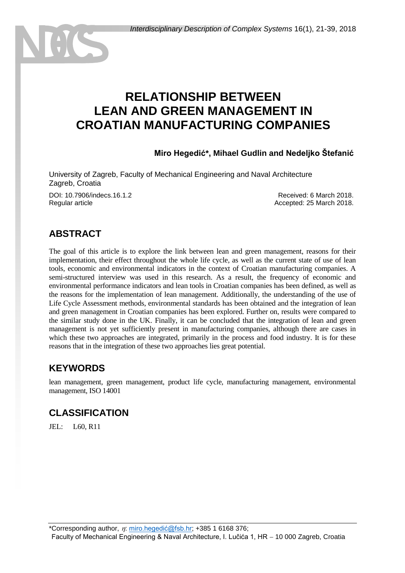# **RELATIONSHIP BETWEEN LEAN AND GREEN MANAGEMENT IN CROATIAN MANUFACTURING COMPANIES**

**Miro Hegedić\*, Mihael Gudlin and Nedeljko Štefanić**

University of Zagreb, Faculty of Mechanical Engineering and Naval Architecture Zagreb, Croatia

DOI: 10.7906/indecs.16.1.2 Regular article

Received: 6 March 2018. Accepted: 25 March 2018.

## **ABSTRACT**

The goal of this article is to explore the link between lean and green management, reasons for their implementation, their effect throughout the whole life cycle, as well as the current state of use of lean tools, economic and environmental indicators in the context of Croatian manufacturing companies. A semi-structured interview was used in this research. As a result, the frequency of economic and environmental performance indicators and lean tools in Croatian companies has been defined, as well as the reasons for the implementation of lean management. Additionally, the understanding of the use of Life Cycle Assessment methods, environmental standards has been obtained and the integration of lean and green management in Croatian companies has been explored. Further on, results were compared to the similar study done in the UK. Finally, it can be concluded that the integration of lean and green management is not yet sufficiently present in manufacturing companies, although there are cases in which these two approaches are integrated, primarily in the process and food industry. It is for these reasons that in the integration of these two approaches lies great potential.

## **KEYWORDS**

lean management, green management, product life cycle, manufacturing management, environmental management, ISO 14001

## **CLASSIFICATION**

JEL: L60, R11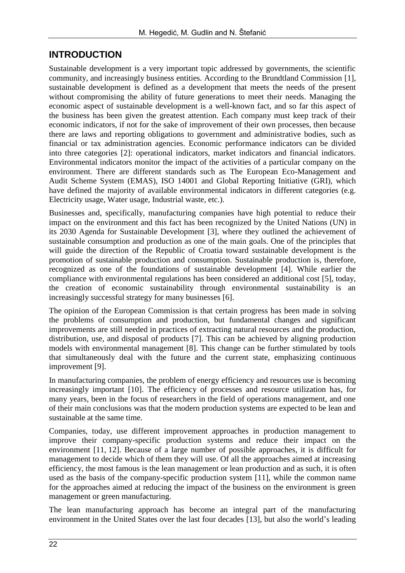## **INTRODUCTION**

Sustainable development is a very important topic addressed by governments, the scientific community, and increasingly business entities. According to the Brundtland Commission [1], sustainable development is defined as a development that meets the needs of the present without compromising the ability of future generations to meet their needs. Managing the economic aspect of sustainable development is a well-known fact, and so far this aspect of the business has been given the greatest attention. Each company must keep track of their economic indicators, if not for the sake of improvement of their own processes, then because there are laws and reporting obligations to government and administrative bodies, such as financial or tax administration agencies. Economic performance indicators can be divided into three categories [2]: operational indicators, market indicators and financial indicators. Environmental indicators monitor the impact of the activities of a particular company on the environment. There are different standards such as The European Eco-Management and Audit Scheme System (EMAS), ISO 14001 and Global Reporting Initiative (GRI), which have defined the majority of available environmental indicators in different categories (e.g. Electricity usage, Water usage, Industrial waste, etc.).

Businesses and, specifically, manufacturing companies have high potential to reduce their impact on the environment and this fact has been recognized by the United Nations (UN) in its 2030 Agenda for Sustainable Development [3], where they outlined the achievement of sustainable consumption and production as one of the main goals. One of the principles that will guide the direction of the Republic of Croatia toward sustainable development is the promotion of sustainable production and consumption. Sustainable production is, therefore, recognized as one of the foundations of sustainable development [4]. While earlier the compliance with environmental regulations has been considered an additional cost [5], today, the creation of economic sustainability through environmental sustainability is an increasingly successful strategy for many businesses [6].

The opinion of the European Commission is that certain progress has been made in solving the problems of consumption and production, but fundamental changes and significant improvements are still needed in practices of extracting natural resources and the production, distribution, use, and disposal of products [7]. This can be achieved by aligning production models with environmental management [8]. This change can be further stimulated by tools that simultaneously deal with the future and the current state, emphasizing continuous improvement [9].

In manufacturing companies, the problem of energy efficiency and resources use is becoming increasingly important [10]. The efficiency of processes and resource utilization has, for many years, been in the focus of researchers in the field of operations management, and one of their main conclusions was that the modern production systems are expected to be lean and sustainable at the same time.

Companies, today, use different improvement approaches in production management to improve their company-specific production systems and reduce their impact on the environment [11, 12]. Because of a large number of possible approaches, it is difficult for management to decide which of them they will use. Of all the approaches aimed at increasing efficiency, the most famous is the lean management or lean production and as such, it is often used as the basis of the company-specific production system [11], while the common name for the approaches aimed at reducing the impact of the business on the environment is green management or green manufacturing.

The lean manufacturing approach has become an integral part of the manufacturing environment in the United States over the last four decades [13], but also the world's leading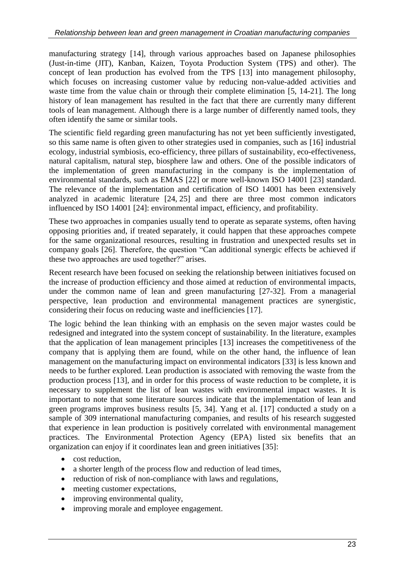manufacturing strategy [14], through various approaches based on Japanese philosophies (Just-in-time (JIT), Kanban, Kaizen, Toyota Production System (TPS) and other). The concept of lean production has evolved from the TPS [13] into management philosophy, which focuses on increasing customer value by reducing non-value-added activities and waste time from the value chain or through their complete elimination [5, 14-21]. The long history of lean management has resulted in the fact that there are currently many different tools of lean management. Although there is a large number of differently named tools, they often identify the same or similar tools.

The scientific field regarding green manufacturing has not yet been sufficiently investigated, so this same name is often given to other strategies used in companies, such as [16] industrial ecology, industrial symbiosis, eco-efficiency, three pillars of sustainability, eco-effectiveness, natural capitalism, natural step, biosphere law and others. One of the possible indicators of the implementation of green manufacturing in the company is the implementation of environmental standards, such as EMAS [22] or more well-known ISO 14001 [23] standard. The relevance of the implementation and certification of ISO 14001 has been extensively analyzed in academic literature [24, 25] and there are three most common indicators influenced by ISO 14001 [24]: environmental impact, efficiency, and profitability.

These two approaches in companies usually tend to operate as separate systems, often having opposing priorities and, if treated separately, it could happen that these approaches compete for the same organizational resources, resulting in frustration and unexpected results set in company goals [26]. Therefore, the question "Can additional synergic effects be achieved if these two approaches are used together?" arises.

Recent research have been focused on seeking the relationship between initiatives focused on the increase of production efficiency and those aimed at reduction of environmental impacts, under the common name of lean and green manufacturing [27-32]. From a managerial perspective, lean production and environmental management practices are synergistic, considering their focus on reducing waste and inefficiencies [17].

The logic behind the lean thinking with an emphasis on the seven major wastes could be redesigned and integrated into the system concept of sustainability. In the literature, examples that the application of lean management principles [13] increases the competitiveness of the company that is applying them are found, while on the other hand, the influence of lean management on the manufacturing impact on environmental indicators [33] is less known and needs to be further explored. Lean production is associated with removing the waste from the production process [13], and in order for this process of waste reduction to be complete, it is necessary to supplement the list of lean wastes with environmental impact wastes. It is important to note that some literature sources indicate that the implementation of lean and green programs improves business results [5, 34]. Yang et al. [17] conducted a study on a sample of 309 international manufacturing companies, and results of his research suggested that experience in lean production is positively correlated with environmental management practices. The Environmental Protection Agency (EPA) listed six benefits that an organization can enjoy if it coordinates lean and green initiatives [35]:

- cost reduction,
- a shorter length of the process flow and reduction of lead times,
- reduction of risk of non-compliance with laws and regulations,
- meeting customer expectations,
- improving environmental quality,
- improving morale and employee engagement.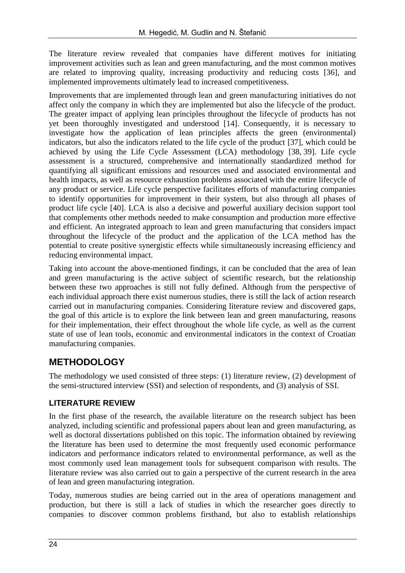The literature review revealed that companies have different motives for initiating improvement activities such as lean and green manufacturing, and the most common motives are related to improving quality, increasing productivity and reducing costs [36], and implemented improvements ultimately lead to increased competitiveness.

Improvements that are implemented through lean and green manufacturing initiatives do not affect only the company in which they are implemented but also the lifecycle of the product. The greater impact of applying lean principles throughout the lifecycle of products has not yet been thoroughly investigated and understood [14]. Consequently, it is necessary to investigate how the application of lean principles affects the green (environmental) indicators, but also the indicators related to the life cycle of the product [37], which could be achieved by using the Life Cycle Assessment (LCA) methodology [38, 39]. Life cycle assessment is a structured, comprehensive and internationally standardized method for quantifying all significant emissions and resources used and associated environmental and health impacts, as well as resource exhaustion problems associated with the entire lifecycle of any product or service. Life cycle perspective facilitates efforts of manufacturing companies to identify opportunities for improvement in their system, but also through all phases of product life cycle [40]. LCA is also a decisive and powerful auxiliary decision support tool that complements other methods needed to make consumption and production more effective and efficient. An integrated approach to lean and green manufacturing that considers impact throughout the lifecycle of the product and the application of the LCA method has the potential to create positive synergistic effects while simultaneously increasing efficiency and reducing environmental impact.

Taking into account the above-mentioned findings, it can be concluded that the area of lean and green manufacturing is the active subject of scientific research, but the relationship between these two approaches is still not fully defined. Although from the perspective of each individual approach there exist numerous studies, there is still the lack of action research carried out in manufacturing companies. Considering literature review and discovered gaps, the goal of this article is to explore the link between lean and green manufacturing, reasons for their implementation, their effect throughout the whole life cycle, as well as the current state of use of lean tools, economic and environmental indicators in the context of Croatian manufacturing companies.

## **METHODOLOGY**

The methodology we used consisted of three steps: (1) literature review, (2) development of the semi-structured interview (SSI) and selection of respondents, and (3) analysis of SSI.

## **LITERATURE REVIEW**

In the first phase of the research, the available literature on the research subject has been analyzed, including scientific and professional papers about lean and green manufacturing, as well as doctoral dissertations published on this topic. The information obtained by reviewing the literature has been used to determine the most frequently used economic performance indicators and performance indicators related to environmental performance, as well as the most commonly used lean management tools for subsequent comparison with results. The literature review was also carried out to gain a perspective of the current research in the area of lean and green manufacturing integration.

Today, numerous studies are being carried out in the area of operations management and production, but there is still a lack of studies in which the researcher goes directly to companies to discover common problems firsthand, but also to establish relationships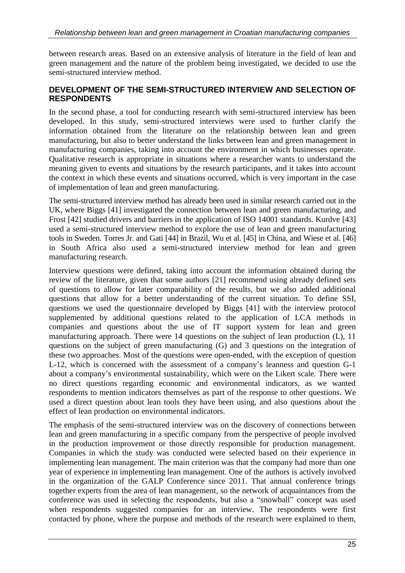between research areas. Based on an extensive analysis of literature in the field of lean and green management and the nature of the problem being investigated, we decided to use the semi-structured interview method.

#### **DEVELOPMENT OF THE SEMI-STRUCTURED INTERVIEW AND SELECTION OF RESPONDENTS**

In the second phase, a tool for conducting research with semi-structured interview has been developed. In this study, semi-structured interviews were used to further clarify the information obtained from the literature on the relationship between lean and green manufacturing, but also to better understand the links between lean and green management in manufacturing companies, taking into account the environment in which businesses operate. Qualitative research is appropriate in situations where a researcher wants to understand the meaning given to events and situations by the research participants, and it takes into account the context in which these events and situations occurred, which is very important in the case of implementation of lean and green manufacturing.

The semi-structured interview method has already been used in similar research carried out in the UK, where Biggs [41] investigated the connection between lean and green manufacturing, and Frost [42] studied drivers and barriers in the application of ISO 14001 standards. Kurdve [43] used a semi-structured interview method to explore the use of lean and green manufacturing tools in Sweden. Torres Jr. and Gati [44] in Brazil, Wu et al. [45] in China, and Wiese et al. [46] in South Africa also used a semi-structured interview method for lean and green manufacturing research.

Interview questions were defined, taking into account the information obtained during the review of the literature, given that some authors [21] recommend using already defined sets of questions to allow for later comparability of the results, but we also added additional questions that allow for a better understanding of the current situation. To define SSI, questions we used the questionnaire developed by Biggs [41] with the interview protocol supplemented by additional questions related to the application of LCA methods in companies and questions about the use of IT support system for lean and green manufacturing approach. There were 14 questions on the subject of lean production (L), 11 questions on the subject of green manufacturing (G) and 3 questions on the integration of these two approaches. Most of the questions were open-ended, with the exception of question L-12, which is concerned with the assessment of a company's leanness and question G-1 about a company's environmental sustainability, which were on the Likert scale. There were no direct questions regarding economic and environmental indicators, as we wanted respondents to mention indicators themselves as part of the response to other questions. We used a direct question about lean tools they have been using, and also questions about the effect of lean production on environmental indicators.

The emphasis of the semi-structured interview was on the discovery of connections between lean and green manufacturing in a specific company from the perspective of people involved in the production improvement or those directly responsible for production management. Companies in which the study was conducted were selected based on their experience in implementing lean management. The main criterion was that the company had more than one year of experience in implementing lean management. One of the authors is actively involved in the organization of the GALP Conference since 2011. That annual conference brings together experts from the area of lean management, so the network of acquaintances from the conference was used in selecting the respondents, but also a "snowball" concept was used when respondents suggested companies for an interview. The respondents were first contacted by phone, where the purpose and methods of the research were explained to them,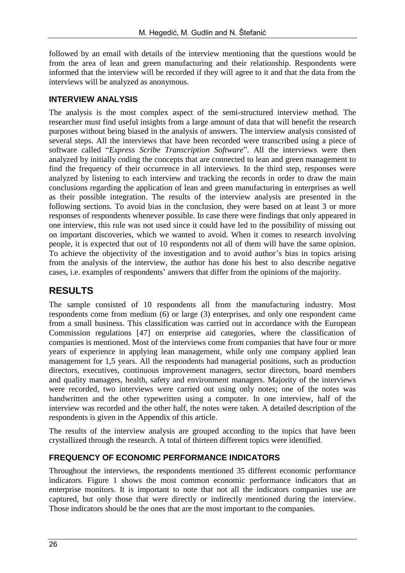followed by an email with details of the interview mentioning that the questions would be from the area of lean and green manufacturing and their relationship. Respondents were informed that the interview will be recorded if they will agree to it and that the data from the interviews will be analyzed as anonymous.

### **INTERVIEW ANALYSIS**

The analysis is the most complex aspect of the semi-structured interview method. The researcher must find useful insights from a large amount of data that will benefit the research purposes without being biased in the analysis of answers. The interview analysis consisted of several steps. All the interviews that have been recorded were transcribed using a piece of software called "*Express Scribe Transcription Software*". All the interviews were then analyzed by initially coding the concepts that are connected to lean and green management to find the frequency of their occurrence in all interviews. In the third step, responses were analyzed by listening to each interview and tracking the records in order to draw the main conclusions regarding the application of lean and green manufacturing in enterprises as well as their possible integration. The results of the interview analysis are presented in the following sections. To avoid bias in the conclusion, they were based on at least 3 or more responses of respondents whenever possible. In case there were findings that only appeared in one interview, this rule was not used since it could have led to the possibility of missing out on important discoveries, which we wanted to avoid. When it comes to research involving people, it is expected that out of 10 respondents not all of them will have the same opinion. To achieve the objectivity of the investigation and to avoid author's bias in topics arising from the analysis of the interview, the author has done his best to also describe negative cases, i.e. examples of respondents' answers that differ from the opinions of the majority.

## **RESULTS**

The sample consisted of 10 respondents all from the manufacturing industry. Most respondents come from medium (6) or large (3) enterprises, and only one respondent came from a small business. This classification was carried out in accordance with the European Commission regulations [47] on enterprise aid categories, where the classification of companies is mentioned. Most of the interviews come from companies that have four or more years of experience in applying lean management, while only one company applied lean management for 1,5 years. All the respondents had managerial positions, such as production directors, executives, continuous improvement managers, sector directors, board members and quality managers, health, safety and environment managers. Majority of the interviews were recorded, two interviews were carried out using only notes; one of the notes was handwritten and the other typewritten using a computer. In one interview, half of the interview was recorded and the other half, the notes were taken. A detailed description of the respondents is given in the Appendix of this article.

The results of the interview analysis are grouped according to the topics that have been crystallized through the research. A total of thirteen different topics were identified.

### **FREQUENCY OF ECONOMIC PERFORMANCE INDICATORS**

Throughout the interviews, the respondents mentioned 35 different economic performance indicators. Figure 1 shows the most common economic performance indicators that an enterprise monitors. It is important to note that not all the indicators companies use are captured, but only those that were directly or indirectly mentioned during the interview. Those indicators should be the ones that are the most important to the companies.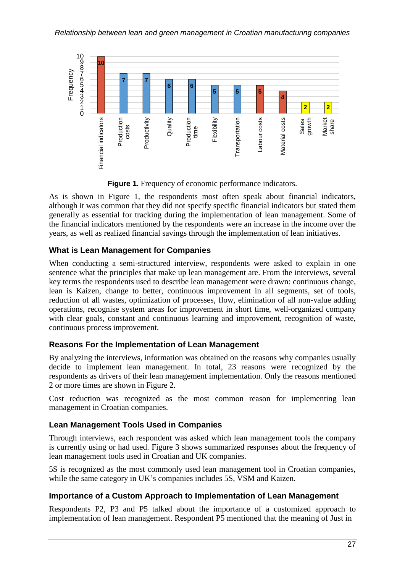

**Figure 1.** Frequency of economic performance indicators.

As is shown in Figure 1, the respondents most often speak about financial indicators, although it was common that they did not specify specific financial indicators but stated them generally as essential for tracking during the implementation of lean management. Some of the financial indicators mentioned by the respondents were an increase in the income over the years, as well as realized financial savings through the implementation of lean initiatives.

### **What is Lean Management for Companies**

When conducting a semi-structured interview, respondents were asked to explain in one sentence what the principles that make up lean management are. From the interviews, several key terms the respondents used to describe lean management were drawn: continuous change, lean is Kaizen, change to better, continuous improvement in all segments, set of tools, reduction of all wastes, optimization of processes, flow, elimination of all non-value adding operations, recognise system areas for improvement in short time, well-organized company with clear goals, constant and continuous learning and improvement, recognition of waste, continuous process improvement.

### **Reasons For the Implementation of Lean Management**

By analyzing the interviews, information was obtained on the reasons why companies usually decide to implement lean management. In total, 23 reasons were recognized by the respondents as drivers of their lean management implementation. Only the reasons mentioned 2 or more times are shown in Figure 2.

Cost reduction was recognized as the most common reason for implementing lean management in Croatian companies.

## **Lean Management Tools Used in Companies**

Through interviews, each respondent was asked which lean management tools the company is currently using or had used. Figure 3 shows summarized responses about the frequency of lean management tools used in Croatian and UK companies.

5S is recognized as the most commonly used lean management tool in Croatian companies, while the same category in UK's companies includes 5S, VSM and Kaizen.

## **Importance of a Custom Approach to Implementation of Lean Management**

Respondents P2, P3 and P5 talked about the importance of a customized approach to implementation of lean management. Respondent P5 mentioned that the meaning of Just in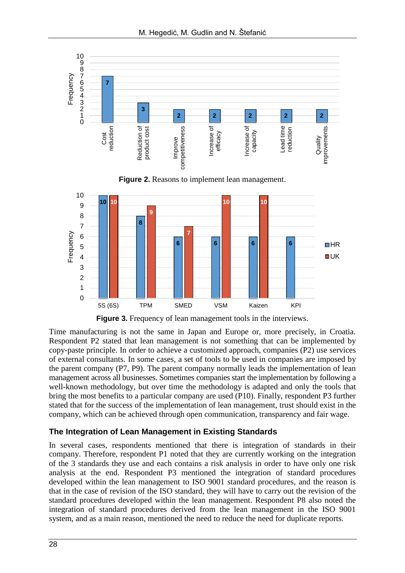



Time manufacturing is not the same in Japan and Europe or, more precisely, in Croatia. Respondent P2 stated that lean management is not something that can be implemented by copy-paste principle. In order to achieve a customized approach, companies (P2) use services of external consultants. In some cases, a set of tools to be used in companies are imposed by the parent company (P7, P9). The parent company normally leads the implementation of lean management across all businesses. Sometimes companies start the implementation by following a well-known methodology, but over time the methodology is adapted and only the tools that bring the most benefits to a particular company are used (P10). Finally, respondent P3 further stated that for the success of the implementation of lean management, trust should exist in the company, which can be achieved through open communication, transparency and fair wage.

## **The Integration of Lean Management in Existing Standards**

In several cases, respondents mentioned that there is integration of standards in their company. Therefore, respondent P1 noted that they are currently working on the integration of the 3 standards they use and each contains a risk analysis in order to have only one risk analysis at the end. Respondent P3 mentioned the integration of standard procedures developed within the lean management to ISO 9001 standard procedures, and the reason is that in the case of revision of the ISO standard, they will have to carry out the revision of the standard procedures developed within the lean management. Respondent P8 also noted the integration of standard procedures derived from the lean management in the ISO 9001 system, and as a main reason, mentioned the need to reduce the need for duplicate reports.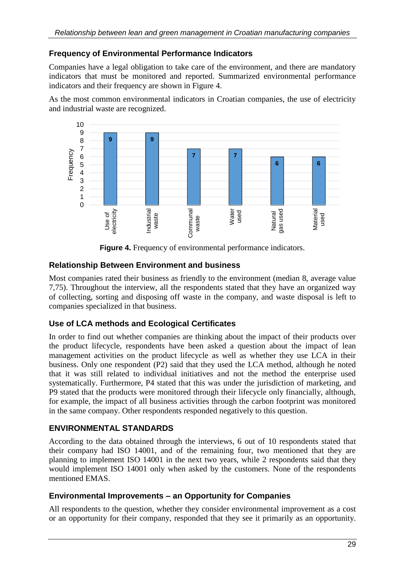### **Frequency of Environmental Performance Indicators**

Companies have a legal obligation to take care of the environment, and there are mandatory indicators that must be monitored and reported. Summarized environmental performance indicators and their frequency are shown in Figure 4.

As the most common environmental indicators in Croatian companies, the use of electricity and industrial waste are recognized.



**Figure 4.** Frequency of environmental performance indicators.

### **Relationship Between Environment and business**

Most companies rated their business as friendly to the environment (median 8, average value 7,75). Throughout the interview, all the respondents stated that they have an organized way of collecting, sorting and disposing off waste in the company, and waste disposal is left to companies specialized in that business.

### **Use of LCA methods and Ecological Certificates**

In order to find out whether companies are thinking about the impact of their products over the product lifecycle, respondents have been asked a question about the impact of lean management activities on the product lifecycle as well as whether they use LCA in their business. Only one respondent (P2) said that they used the LCA method, although he noted that it was still related to individual initiatives and not the method the enterprise used systematically. Furthermore, P4 stated that this was under the jurisdiction of marketing, and P9 stated that the products were monitored through their lifecycle only financially, although, for example, the impact of all business activities through the carbon footprint was monitored in the same company. Other respondents responded negatively to this question.

### **ENVIRONMENTAL STANDARDS**

According to the data obtained through the interviews, 6 out of 10 respondents stated that their company had ISO 14001, and of the remaining four, two mentioned that they are planning to implement ISO 14001 in the next two years, while 2 respondents said that they would implement ISO 14001 only when asked by the customers. None of the respondents mentioned EMAS.

### **Environmental Improvements – an Opportunity for Companies**

All respondents to the question, whether they consider environmental improvement as a cost or an opportunity for their company, responded that they see it primarily as an opportunity.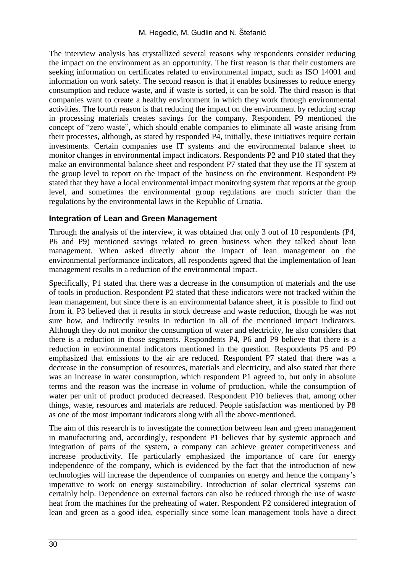The interview analysis has crystallized several reasons why respondents consider reducing the impact on the environment as an opportunity. The first reason is that their customers are seeking information on certificates related to environmental impact, such as ISO 14001 and information on work safety. The second reason is that it enables businesses to reduce energy consumption and reduce waste, and if waste is sorted, it can be sold. The third reason is that companies want to create a healthy environment in which they work through environmental activities. The fourth reason is that reducing the impact on the environment by reducing scrap in processing materials creates savings for the company. Respondent P9 mentioned the concept of "zero waste", which should enable companies to eliminate all waste arising from their processes, although, as stated by responded P4, initially, these initiatives require certain investments. Certain companies use IT systems and the environmental balance sheet to monitor changes in environmental impact indicators. Respondents P2 and P10 stated that they make an environmental balance sheet and respondent P7 stated that they use the IT system at the group level to report on the impact of the business on the environment. Respondent P9 stated that they have a local environmental impact monitoring system that reports at the group level, and sometimes the environmental group regulations are much stricter than the regulations by the environmental laws in the Republic of Croatia.

### **Integration of Lean and Green Management**

Through the analysis of the interview, it was obtained that only 3 out of 10 respondents (P4, P6 and P9) mentioned savings related to green business when they talked about lean management. When asked directly about the impact of lean management on the environmental performance indicators, all respondents agreed that the implementation of lean management results in a reduction of the environmental impact.

Specifically, P1 stated that there was a decrease in the consumption of materials and the use of tools in production. Respondent P2 stated that these indicators were not tracked within the lean management, but since there is an environmental balance sheet, it is possible to find out from it. P3 believed that it results in stock decrease and waste reduction, though he was not sure how, and indirectly results in reduction in all of the mentioned impact indicators. Although they do not monitor the consumption of water and electricity, he also considers that there is a reduction in those segments. Respondents P4, P6 and P9 believe that there is a reduction in environmental indicators mentioned in the question. Respondents P5 and P9 emphasized that emissions to the air are reduced. Respondent P7 stated that there was a decrease in the consumption of resources, materials and electricity, and also stated that there was an increase in water consumption, which respondent P1 agreed to, but only in absolute terms and the reason was the increase in volume of production, while the consumption of water per unit of product produced decreased. Respondent P10 believes that, among other things, waste, resources and materials are reduced. People satisfaction was mentioned by P8 as one of the most important indicators along with all the above-mentioned.

The aim of this research is to investigate the connection between lean and green management in manufacturing and, accordingly, respondent P1 believes that by systemic approach and integration of parts of the system, a company can achieve greater competitiveness and increase productivity. He particularly emphasized the importance of care for energy independence of the company, which is evidenced by the fact that the introduction of new technologies will increase the dependence of companies on energy and hence the company's imperative to work on energy sustainability. Introduction of solar electrical systems can certainly help. Dependence on external factors can also be reduced through the use of waste heat from the machines for the preheating of water. Respondent P2 considered integration of lean and green as a good idea, especially since some lean management tools have a direct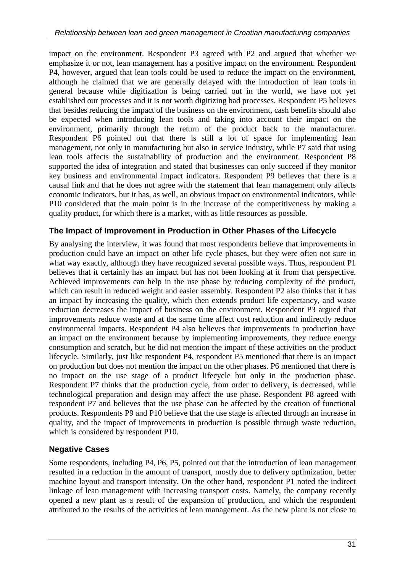impact on the environment. Respondent P3 agreed with P2 and argued that whether we emphasize it or not, lean management has a positive impact on the environment. Respondent P4, however, argued that lean tools could be used to reduce the impact on the environment, although he claimed that we are generally delayed with the introduction of lean tools in general because while digitization is being carried out in the world, we have not yet established our processes and it is not worth digitizing bad processes. Respondent P5 believes that besides reducing the impact of the business on the environment, cash benefits should also be expected when introducing lean tools and taking into account their impact on the environment, primarily through the return of the product back to the manufacturer. Respondent P6 pointed out that there is still a lot of space for implementing lean management, not only in manufacturing but also in service industry, while P7 said that using lean tools affects the sustainability of production and the environment. Respondent P8 supported the idea of integration and stated that businesses can only succeed if they monitor key business and environmental impact indicators. Respondent P9 believes that there is a causal link and that he does not agree with the statement that lean management only affects economic indicators, but it has, as well, an obvious impact on environmental indicators, while P10 considered that the main point is in the increase of the competitiveness by making a quality product, for which there is a market, with as little resources as possible.

### **The Impact of Improvement in Production in Other Phases of the Lifecycle**

By analysing the interview, it was found that most respondents believe that improvements in production could have an impact on other life cycle phases, but they were often not sure in what way exactly, although they have recognized several possible ways. Thus, respondent P1 believes that it certainly has an impact but has not been looking at it from that perspective. Achieved improvements can help in the use phase by reducing complexity of the product, which can result in reduced weight and easier assembly. Respondent P2 also thinks that it has an impact by increasing the quality, which then extends product life expectancy, and waste reduction decreases the impact of business on the environment. Respondent P3 argued that improvements reduce waste and at the same time affect cost reduction and indirectly reduce environmental impacts. Respondent P4 also believes that improvements in production have an impact on the environment because by implementing improvements, they reduce energy consumption and scratch, but he did not mention the impact of these activities on the product lifecycle. Similarly, just like respondent P4, respondent P5 mentioned that there is an impact on production but does not mention the impact on the other phases. P6 mentioned that there is no impact on the use stage of a product lifecycle but only in the production phase. Respondent P7 thinks that the production cycle, from order to delivery, is decreased, while technological preparation and design may affect the use phase. Respondent P8 agreed with respondent P7 and believes that the use phase can be affected by the creation of functional products. Respondents P9 and P10 believe that the use stage is affected through an increase in quality, and the impact of improvements in production is possible through waste reduction, which is considered by respondent P10.

## **Negative Cases**

Some respondents, including P4, P6, P5, pointed out that the introduction of lean management resulted in a reduction in the amount of transport, mostly due to delivery optimization, better machine layout and transport intensity. On the other hand, respondent P1 noted the indirect linkage of lean management with increasing transport costs. Namely, the company recently opened a new plant as a result of the expansion of production, and which the respondent attributed to the results of the activities of lean management. As the new plant is not close to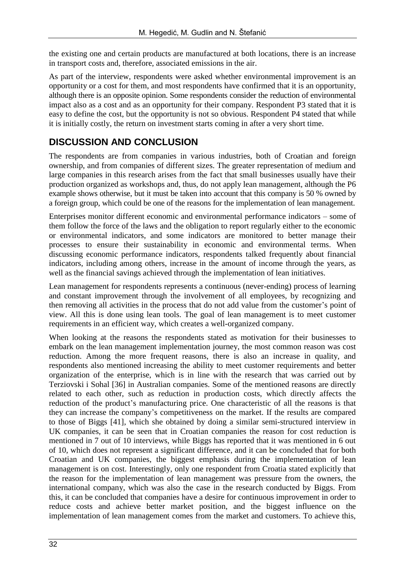the existing one and certain products are manufactured at both locations, there is an increase in transport costs and, therefore, associated emissions in the air.

As part of the interview, respondents were asked whether environmental improvement is an opportunity or a cost for them, and most respondents have confirmed that it is an opportunity, although there is an opposite opinion. Some respondents consider the reduction of environmental impact also as a cost and as an opportunity for their company. Respondent P3 stated that it is easy to define the cost, but the opportunity is not so obvious. Respondent P4 stated that while it is initially costly, the return on investment starts coming in after a very short time.

## **DISCUSSION AND CONCLUSION**

The respondents are from companies in various industries, both of Croatian and foreign ownership, and from companies of different sizes. The greater representation of medium and large companies in this research arises from the fact that small businesses usually have their production organized as workshops and, thus, do not apply lean management, although the P6 example shows otherwise, but it must be taken into account that this company is 50 % owned by a foreign group, which could be one of the reasons for the implementation of lean management.

Enterprises monitor different economic and environmental performance indicators – some of them follow the force of the laws and the obligation to report regularly either to the economic or environmental indicators, and some indicators are monitored to better manage their processes to ensure their sustainability in economic and environmental terms. When discussing economic performance indicators, respondents talked frequently about financial indicators, including among others, increase in the amount of income through the years, as well as the financial savings achieved through the implementation of lean initiatives.

Lean management for respondents represents a continuous (never-ending) process of learning and constant improvement through the involvement of all employees, by recognizing and then removing all activities in the process that do not add value from the customer's point of view. All this is done using lean tools. The goal of lean management is to meet customer requirements in an efficient way, which creates a well-organized company.

When looking at the reasons the respondents stated as motivation for their businesses to embark on the lean management implementation journey, the most common reason was cost reduction. Among the more frequent reasons, there is also an increase in quality, and respondents also mentioned increasing the ability to meet customer requirements and better organization of the enterprise, which is in line with the research that was carried out by Terziovski i Sohal [36] in Australian companies. Some of the mentioned reasons are directly related to each other, such as reduction in production costs, which directly affects the reduction of the product's manufacturing price. One characteristic of all the reasons is that they can increase the company's competitiveness on the market. If the results are compared to those of Biggs [41], which she obtained by doing a similar semi-structured interview in UK companies, it can be seen that in Croatian companies the reason for cost reduction is mentioned in 7 out of 10 interviews, while Biggs has reported that it was mentioned in 6 out of 10, which does not represent a significant difference, and it can be concluded that for both Croatian and UK companies, the biggest emphasis during the implementation of lean management is on cost. Interestingly, only one respondent from Croatia stated explicitly that the reason for the implementation of lean management was pressure from the owners, the international company, which was also the case in the research conducted by Biggs. From this, it can be concluded that companies have a desire for continuous improvement in order to reduce costs and achieve better market position, and the biggest influence on the implementation of lean management comes from the market and customers. To achieve this,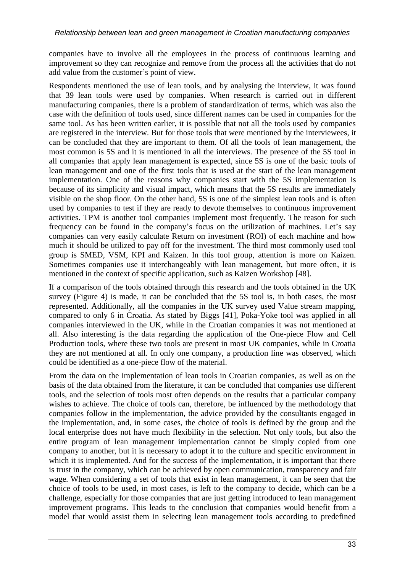companies have to involve all the employees in the process of continuous learning and improvement so they can recognize and remove from the process all the activities that do not add value from the customer's point of view.

Respondents mentioned the use of lean tools, and by analysing the interview, it was found that 39 lean tools were used by companies. When research is carried out in different manufacturing companies, there is a problem of standardization of terms, which was also the case with the definition of tools used, since different names can be used in companies for the same tool. As has been written earlier, it is possible that not all the tools used by companies are registered in the interview. But for those tools that were mentioned by the interviewees, it can be concluded that they are important to them. Of all the tools of lean management, the most common is 5S and it is mentioned in all the interviews. The presence of the 5S tool in all companies that apply lean management is expected, since 5S is one of the basic tools of lean management and one of the first tools that is used at the start of the lean management implementation. One of the reasons why companies start with the 5S implementation is because of its simplicity and visual impact, which means that the 5S results are immediately visible on the shop floor. On the other hand, 5S is one of the simplest lean tools and is often used by companies to test if they are ready to devote themselves to continuous improvement activities. TPM is another tool companies implement most frequently. The reason for such frequency can be found in the company's focus on the utilization of machines. Let's say companies can very easily calculate Return on investment (ROI) of each machine and how much it should be utilized to pay off for the investment. The third most commonly used tool group is SMED, VSM, KPI and Kaizen. In this tool group, attention is more on Kaizen. Sometimes companies use it interchangeably with lean management, but more often, it is mentioned in the context of specific application, such as Kaizen Workshop [48].

If a comparison of the tools obtained through this research and the tools obtained in the UK survey (Figure 4) is made, it can be concluded that the 5S tool is, in both cases, the most represented. Additionally, all the companies in the UK survey used Value stream mapping, compared to only 6 in Croatia. As stated by Biggs [41], Poka-Yoke tool was applied in all companies interviewed in the UK, while in the Croatian companies it was not mentioned at all. Also interesting is the data regarding the application of the One-piece Flow and Cell Production tools, where these two tools are present in most UK companies, while in Croatia they are not mentioned at all. In only one company, a production line was observed, which could be identified as a one-piece flow of the material.

From the data on the implementation of lean tools in Croatian companies, as well as on the basis of the data obtained from the literature, it can be concluded that companies use different tools, and the selection of tools most often depends on the results that a particular company wishes to achieve. The choice of tools can, therefore, be influenced by the methodology that companies follow in the implementation, the advice provided by the consultants engaged in the implementation, and, in some cases, the choice of tools is defined by the group and the local enterprise does not have much flexibility in the selection. Not only tools, but also the entire program of lean management implementation cannot be simply copied from one company to another, but it is necessary to adopt it to the culture and specific environment in which it is implemented. And for the success of the implementation, it is important that there is trust in the company, which can be achieved by open communication, transparency and fair wage. When considering a set of tools that exist in lean management, it can be seen that the choice of tools to be used, in most cases, is left to the company to decide, which can be a challenge, especially for those companies that are just getting introduced to lean management improvement programs. This leads to the conclusion that companies would benefit from a model that would assist them in selecting lean management tools according to predefined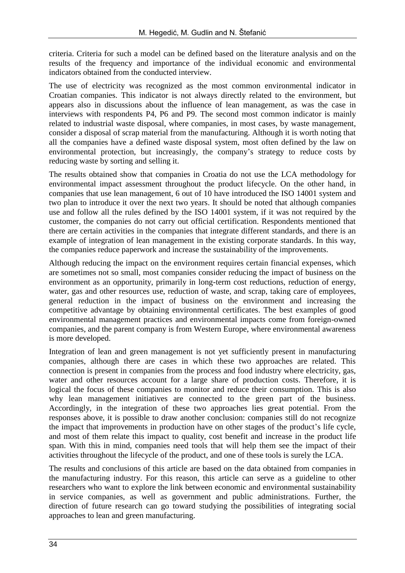criteria. Criteria for such a model can be defined based on the literature analysis and on the results of the frequency and importance of the individual economic and environmental indicators obtained from the conducted interview.

The use of electricity was recognized as the most common environmental indicator in Croatian companies. This indicator is not always directly related to the environment, but appears also in discussions about the influence of lean management, as was the case in interviews with respondents P4, P6 and P9. The second most common indicator is mainly related to industrial waste disposal, where companies, in most cases, by waste management, consider a disposal of scrap material from the manufacturing. Although it is worth noting that all the companies have a defined waste disposal system, most often defined by the law on environmental protection, but increasingly, the company's strategy to reduce costs by reducing waste by sorting and selling it.

The results obtained show that companies in Croatia do not use the LCA methodology for environmental impact assessment throughout the product lifecycle. On the other hand, in companies that use lean management, 6 out of 10 have introduced the ISO 14001 system and two plan to introduce it over the next two years. It should be noted that although companies use and follow all the rules defined by the ISO 14001 system, if it was not required by the customer, the companies do not carry out official certification. Respondents mentioned that there are certain activities in the companies that integrate different standards, and there is an example of integration of lean management in the existing corporate standards. In this way, the companies reduce paperwork and increase the sustainability of the improvements.

Although reducing the impact on the environment requires certain financial expenses, which are sometimes not so small, most companies consider reducing the impact of business on the environment as an opportunity, primarily in long-term cost reductions, reduction of energy, water, gas and other resources use, reduction of waste, and scrap, taking care of employees, general reduction in the impact of business on the environment and increasing the competitive advantage by obtaining environmental certificates. The best examples of good environmental management practices and environmental impacts come from foreign-owned companies, and the parent company is from Western Europe, where environmental awareness is more developed.

Integration of lean and green management is not yet sufficiently present in manufacturing companies, although there are cases in which these two approaches are related. This connection is present in companies from the process and food industry where electricity, gas, water and other resources account for a large share of production costs. Therefore, it is logical the focus of these companies to monitor and reduce their consumption. This is also why lean management initiatives are connected to the green part of the business. Accordingly, in the integration of these two approaches lies great potential. From the responses above, it is possible to draw another conclusion: companies still do not recognize the impact that improvements in production have on other stages of the product's life cycle, and most of them relate this impact to quality, cost benefit and increase in the product life span. With this in mind, companies need tools that will help them see the impact of their activities throughout the lifecycle of the product, and one of these tools is surely the LCA.

The results and conclusions of this article are based on the data obtained from companies in the manufacturing industry. For this reason, this article can serve as a guideline to other researchers who want to explore the link between economic and environmental sustainability in service companies, as well as government and public administrations. Further, the direction of future research can go toward studying the possibilities of integrating social approaches to lean and green manufacturing.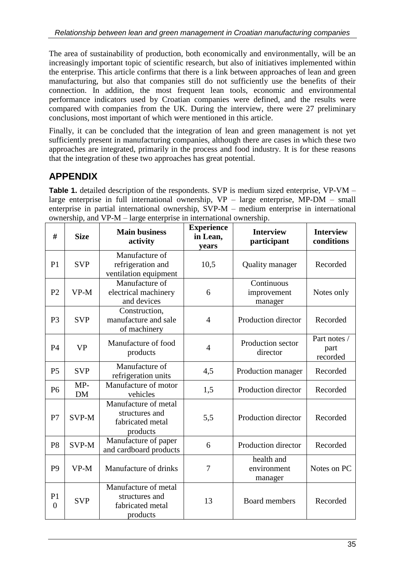The area of sustainability of production, both economically and environmentally, will be an increasingly important topic of scientific research, but also of initiatives implemented within the enterprise. This article confirms that there is a link between approaches of lean and green manufacturing, but also that companies still do not sufficiently use the benefits of their connection. In addition, the most frequent lean tools, economic and environmental performance indicators used by Croatian companies were defined, and the results were compared with companies from the UK. During the interview, there were 27 preliminary conclusions, most important of which were mentioned in this article.

Finally, it can be concluded that the integration of lean and green management is not yet sufficiently present in manufacturing companies, although there are cases in which these two approaches are integrated, primarily in the process and food industry. It is for these reasons that the integration of these two approaches has great potential.

## **APPENDIX**

**Table 1.** detailed description of the respondents. SVP is medium sized enterprise, VP-VM – large enterprise in full international ownership, VP – large enterprise, MP-DM – small enterprise in partial international ownership, SVP-M – medium enterprise in international ownership, and VP-M – large enterprise in international ownership.

| #                                  | <b>Size</b>      | <b>Main business</b><br>activity                                       | <b>Experience</b><br>in Lean,<br>years | <b>Interview</b><br>participant      | <b>Interview</b><br>conditions   |
|------------------------------------|------------------|------------------------------------------------------------------------|----------------------------------------|--------------------------------------|----------------------------------|
| P <sub>1</sub>                     | <b>SVP</b>       | Manufacture of<br>refrigeration and<br>ventilation equipment           | 10,5                                   | Quality manager                      | Recorded                         |
| P <sub>2</sub>                     | VP-M             | Manufacture of<br>electrical machinery<br>and devices                  | 6                                      | Continuous<br>improvement<br>manager | Notes only                       |
| P <sub>3</sub>                     | <b>SVP</b>       | Construction,<br>manufacture and sale<br>of machinery                  | $\overline{4}$                         | Production director                  | Recorded                         |
| <b>P4</b>                          | <b>VP</b>        | Manufacture of food<br>products                                        | $\overline{4}$                         | Production sector<br>director        | Part notes /<br>part<br>recorded |
| P <sub>5</sub>                     | <b>SVP</b>       | Manufacture of<br>refrigeration units                                  | 4,5                                    | Production manager                   | Recorded                         |
| P <sub>6</sub>                     | MP-<br><b>DM</b> | Manufacture of motor<br>vehicles                                       | 1,5                                    | Production director                  | Recorded                         |
| P7                                 | SVP-M            | Manufacture of metal<br>structures and<br>fabricated metal<br>products | 5,5                                    | Production director                  | Recorded                         |
| P <sub>8</sub>                     | <b>SVP-M</b>     | Manufacture of paper<br>and cardboard products                         | 6                                      | Production director                  | Recorded                         |
| P <sub>9</sub>                     | $VP-M$           | Manufacture of drinks                                                  | $\overline{7}$                         | health and<br>environment<br>manager | Notes on PC                      |
| P <sub>1</sub><br>$\boldsymbol{0}$ | <b>SVP</b>       | Manufacture of metal<br>structures and<br>fabricated metal<br>products | 13                                     | <b>Board members</b>                 | Recorded                         |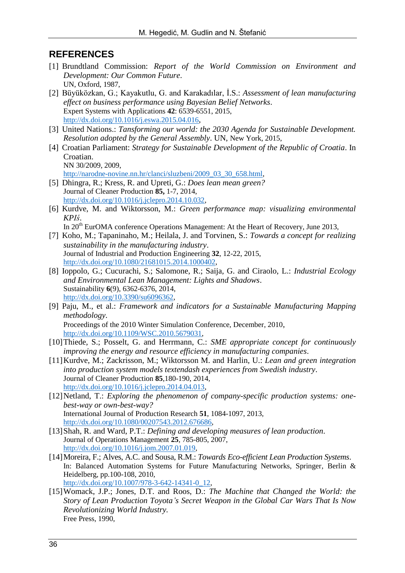## **REFERENCES**

- [1] Brundtland Commission: *Report of the World Commission on Environment and Development: Our Common Future*. UN, Oxford, 1987,
- [2] Büyüközkan, G.; Kayakutlu, G. and Karakadılar, İ.S.: *Assessment of lean manufacturing effect on business performance using Bayesian Belief Networks*. Expert Systems with Applications **42**: 6539-6551, 2015, <http://dx.doi.org/10.1016/j.eswa.2015.04.016>,
- [3] United Nations.: *Tansforming our world: the 2030 Agenda for Sustainable Development. Resolution adopted by the General Assembly*. UN, New York, 2015,
- [4] Croatian Parliament: *Strategy for Sustainable Development of the Republic of Croatia*. In Croatian. NN 30/2009, 2009,

[http://narodne-novine.nn.hr/clanci/sluzbeni/2009\\_03\\_30\\_658.html,](http://narodne-novine.nn.hr/clanci/sluzbeni/2009_03_30_658.html)

- [5] Dhingra, R.; Kress, R. and Upreti, G.: *Does lean mean green?* Journal of Cleaner Production **85,** 1-7, 2014, [http://dx.doi.org/10.1016/j.jclepro.2014.10.032,](http://dx.doi.org/10.1016/j.jclepro.2014.10.032)
- [6] Kurdve, M. and Wiktorsson, M.: *Green performance map: visualizing environmental KPIś*.

In 20<sup>th</sup> EurOMA conference Operations Management: At the Heart of Recovery, June 2013,

- [7] Koho, M.; Tapaninaho, M.; Heilala, J. and Torvinen, S.: *Towards a concept for realizing sustainability in the manufacturing industry*. Journal of Industrial and Production Engineering **32**, 12-22, 2015, [http://dx.doi.org/10.1080/21681015.2014.1000402,](http://dx.doi.org/10.1080/21681015.2014.1000402)
- [8] Ioppolo, G.; Cucurachi, S.; Salomone, R.; Saija, G. and Ciraolo, L.: *Industrial Ecology and Environmental Lean Management: Lights and Shadows*. Sustainability **6**(9), 6362-6376, 2014, [http://dx.doi.org/10.3390/su6096362,](http://dx.doi.org/10.3390/su6096362)
- [9] Paju, M., et al.: *Framework and indicators for a Sustainable Manufacturing Mapping methodology*. Proceedings of the 2010 Winter Simulation Conference, December, 2010, [http://dx.doi.org/10.1109/WSC.2010.5679031,](http://dx.doi.org/10.1109/WSC.2010.5679031)
- [10]Thiede, S.; Posselt, G. and Herrmann, C.: *SME appropriate concept for continuously improving the energy and resource efficiency in manufacturing companies*.
- [11]Kurdve, M.; Zackrisson, M.; Wiktorsson M. and Harlin, U.: *Lean and green integration into production system models textendash experiences from Swedish industry*. Journal of Cleaner Production **85**,180-190, 2014, [http://dx.doi.org/10.1016/j.jclepro.2014.04.013,](http://dx.doi.org/10.1016/j.jclepro.2014.04.013)
- [12]Netland, T.: *Exploring the phenomenon of company-specific production systems: onebest-way or own-best-way?* International Journal of Production Research **51**, 1084-1097, 2013, [http://dx.doi.org/10.1080/00207543.2012.676686,](http://dx.doi.org/10.1080/00207543.2012.676686)
- [13]Shah, R. and Ward, P.T.: *Defining and developing measures of lean production*. Journal of Operations Management **25**, 785-805, 2007, [http://dx.doi.org/10.1016/j.jom.2007.01.019,](http://dx.doi.org/10.1016/j.jom.2007.01.019)
- [14]Moreira, F.; Alves, A.C. and Sousa, R.M.: *Towards Eco-efficient Lean Production Systems*. In: Balanced Automation Systems for Future Manufacturing Networks, Springer, Berlin & Heidelberg, pp.100-108, 2010, [http://dx.doi.org/10.1007/978-3-642-14341-0\\_12,](http://dx.doi.org/10.1007/978-3-642-14341-0_12)
- [15]Womack, J.P.; Jones, D.T. and Roos, D.: *The Machine that Changed the World: the Story of Lean Production Toyota's Secret Weapon in the Global Car Wars That Is Now Revolutionizing World Industry.* Free Press, 1990,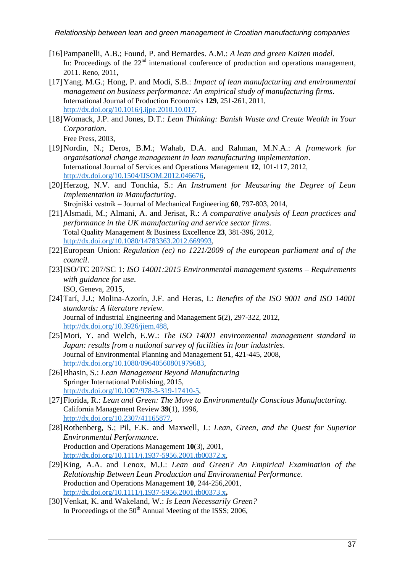- [16]Pampanelli, A.B.; Found, P. and Bernardes. A.M.: *A lean and green Kaizen model*. In: Proceedings of the  $22<sup>nd</sup>$  international conference of production and operations management, 2011. Reno, 2011,
- [17]Yang, M.G.; Hong, P. and Modi, S.B.: *Impact of lean manufacturing and environmental management on business performance: An empirical study of manufacturing firms*. International Journal of Production Economics **129**, 251-261, 2011, [http://dx.doi.org/10.1016/j.ijpe.2010.10.017,](http://dx.doi.org/10.1016/j.ijpe.2010.10.017)
- [18]Womack, J.P. and Jones, D.T.: *Lean Thinking: Banish Waste and Create Wealth in Your Corporation*. Free Press, 2003,
- [19]Nordin, N.; Deros, B.M.; Wahab, D.A. and Rahman, M.N.A.: *A framework for organisational change management in lean manufacturing implementation*. International Journal of Services and Operations Management **12**, 101-117, 2012, [http://dx.doi.org/10.1504/IJSOM.2012.046676,](http://dx.doi.org/10.1504/IJSOM.2012.046676)
- [20]Herzog, N.V. and Tonchia, S.: *An Instrument for Measuring the Degree of Lean Implementation in Manufacturing*.
	- Strojniški vestnik Journal of Mechanical Engineering **60**, 797-803, 2014,
- [21]Alsmadi, M.; Almani, A. and Jerisat, R.: *A comparative analysis of Lean practices and performance in the UK manufacturing and service sector firms*. Total Quality Management & Business Excellence **23**, 381-396, 2012, [http://dx.doi.org/10.1080/14783363.2012.669993,](http://dx.doi.org/10.1080/14783363.2012.669993)
- [22]European Union: *Regulation (ec) no 1221/2009 of the european parliament and of the council*.
- [23]ISO/TC 207/SC 1: *ISO 14001:2015 Environmental management systems – Requirements with guidance for use*. ISO, Geneva, 2015,
- [24]Tarí, J.J.; Molina-Azorín, J.F. and Heras, I.: *Benefits of the ISO 9001 and ISO 14001 standards: A literature review*. Journal of Industrial Engineering and Management **5**(2), 297-322, 2012, [http://dx.doi.org/10.3926/jiem.488,](http://dx.doi.org/10.3926/jiem.488)
- [25]Mori, Y. and Welch, E.W.: *The ISO 14001 environmental management standard in Japan: results from a national survey of facilities in four industries.* Journal of Environmental Planning and Management **51**, 421-445, 2008, [http://dx.doi.org/10.1080/09640560801979683,](http://dx.doi.org/10.1080/09640560801979683)
- [26]Bhasin, S.: *Lean Management Beyond Manufacturing* Springer International Publishing, 2015, [http://dx.doi.org/10.1007/978-3-319-17410-5,](http://dx.doi.org/10.1007/978-3-319-17410-5)
- [27]Florida, R.: *Lean and Green: The Move to Environmentally Conscious Manufacturing.* California Management Review **39**(1), 1996, [http://dx.doi.org/10.2307/41165877,](http://dx.doi.org/10.2307/41165877)
- [28]Rothenberg, S.; Pil, F.K. and Maxwell, J.: *Lean, Green, and the Quest for Superior Environmental Performance*. Production and Operations Management **10**(3), 2001, [http://dx.doi.org/10.1111/j.1937-5956.2001.tb00372.x,](http://dx.doi.org/10.1111/j.1937-5956.2001.tb00372.x)
- [29]King, A.A. and Lenox, M.J.: *Lean and Green? An Empirical Examination of the Relationship Between Lean Production and Environmental Performance*. Production and Operations Management **10**, 244-256,2001, <http://dx.doi.org/10.1111/j.1937-5956.2001.tb00373.x>**,**
- [30]Venkat, K. and Wakeland, W.: *Is Lean Necessarily Green?* In Proceedings of the  $50<sup>th</sup>$  Annual Meeting of the ISSS; 2006,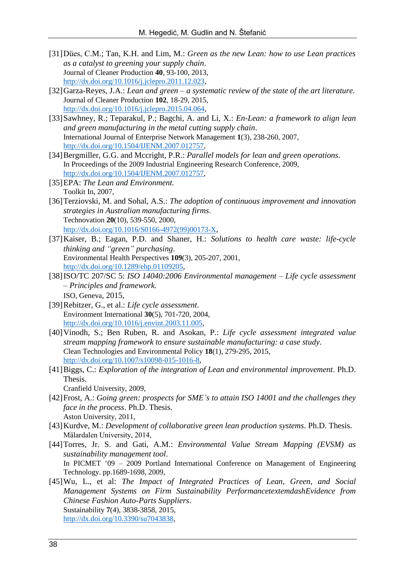- [31]Dües, C.M.; Tan, K.H. and Lim, M.: *Green as the new Lean: how to use Lean practices as a catalyst to greening your supply chain*. Journal of Cleaner Production **40**, 93-100, 2013, [http://dx.doi.org/10.1016/j.jclepro.2011.12.023,](http://dx.doi.org/10.1016/j.jclepro.2011.12.023)
- [32]Garza-Reyes, J.A.: *Lean and green – a systematic review of the state of the art literature.* Journal of Cleaner Production **102**, 18-29, 2015, [http://dx.doi.org/10.1016/j.jclepro.2015.04.064,](http://dx.doi.org/10.1016/j.jclepro.2015.04.064)
- [33]Sawhney, R.; Teparakul, P.; Bagchi, A. and Li, X.: *En-Lean: a framework to align lean and green manufacturing in the metal cutting supply chain*. International Journal of Enterprise Network Management **1**(3), 238-260, 2007, [http://dx.doi.org/10.1504/IJENM.2007.012757,](http://dx.doi.org/10.1504/IJENM.2007.012757)
- [34]Bergmiller, G.G. and Mccright, P.R.: *Parallel models for lean and green operations*. In Proceedings of the 2009 Industrial Engineering Research Conference, 2009, [http://dx.doi.org/10.1504/IJENM.2007.012757,](http://dx.doi.org/10.1504/IJENM.2007.012757)
- [35]EPA: *The Lean and Environment.* Toolkit In, 2007,
- [36]Terziovski, M. and Sohal, A.S.: *The adoption of continuous improvement and innovation strategies in Australian manufacturing firms*. Technovation **20**(10), 539-550, 2000, [http://dx.doi.org/10.1016/S0166-4972\(99\)00173-X](http://dx.doi.org/10.1016/S0166-4972(99)00173-X),
- [37]Kaiser, B.; Eagan, P.D. and Shaner, H.: *Solutions to health care waste: life-cycle thinking and "green" purchasing*. Environmental Health Perspectives **109**(3), 205-207, 2001, [http://dx.doi.org/10.1289/ehp.01109205,](http://dx.doi.org/10.1289/ehp.01109205)
- [38]ISO/TC 207/SC 5: *ISO 14040:2006 Environmental management – Life cycle assessment – Principles and framework.* ISO, Geneva, 2015,
- [39]Rebitzer, G., et al.: *Life cycle assessment*. Environment International **30**(5), 701-720, 2004, [http://dx.doi.org/10.1016/j.envint.2003.11.005,](http://dx.doi.org/10.1016/j.envint.2003.11.005)
- [40]Vinodh, S.; Ben Ruben, R. and Asokan, P.: *Life cycle assessment integrated value stream mapping framework to ensure sustainable manufacturing: a case study*. Clean Technologies and Environmental Policy **18**(1), 279-295, 2015, [http://dx.doi.org/10.1007/s10098-015-1016-8,](http://dx.doi.org/10.1007/s10098-015-1016-8)
- [41]Biggs, C.: *Exploration of the integration of Lean and environmental improvement*. Ph.D. Thesis.
	- Cranfield University, 2009,
- [42]Frost, A.: *Going green: prospects for SME's to attain ISO 14001 and the challenges they face in the process*. Ph.D. Thesis. Aston University, 2011,
- [43]Kurdve, M.: *Development of collaborative green lean production systems*. Ph.D. Thesis. Mälardalen University, 2014,
- [44]Torres, Jr. S. and Gati, A.M.: *Environmental Value Stream Mapping (EVSM) as sustainability management tool*. In PICMET '09 – 2009 Portland International Conference on Management of Engineering Technology. pp.1689-1698, 2009,
- [45]Wu, L., et al: *The Impact of Integrated Practices of Lean, Green, and Social Management Systems on Firm Sustainability PerformancetextemdashEvidence from Chinese Fashion Auto-Parts Suppliers*. Sustainability **7**(4), 3838-3858, 2015, [http://dx.doi.org/10.3390/su7043838,](http://dx.doi.org/10.3390/su7043838)